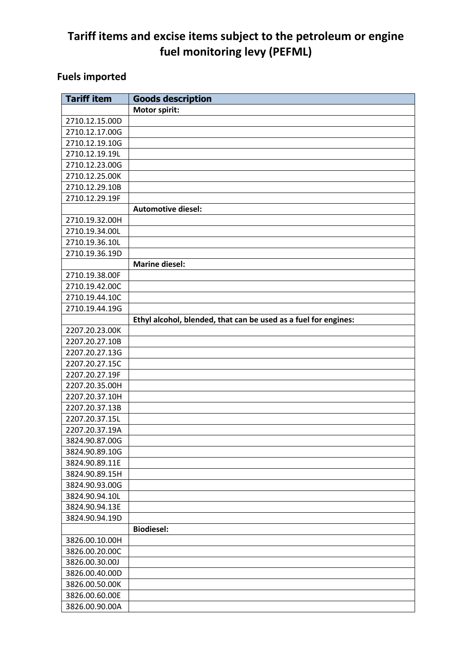## **Tariff items and excise items subject to the petroleum or engine fuel monitoring levy (PEFML)**

## **Fuels imported**

| <b>Tariff item</b> | <b>Goods description</b>                                        |
|--------------------|-----------------------------------------------------------------|
|                    | Motor spirit:                                                   |
| 2710.12.15.00D     |                                                                 |
| 2710.12.17.00G     |                                                                 |
| 2710.12.19.10G     |                                                                 |
| 2710.12.19.19L     |                                                                 |
| 2710.12.23.00G     |                                                                 |
| 2710.12.25.00K     |                                                                 |
| 2710.12.29.10B     |                                                                 |
| 2710.12.29.19F     |                                                                 |
|                    | <b>Automotive diesel:</b>                                       |
| 2710.19.32.00H     |                                                                 |
| 2710.19.34.00L     |                                                                 |
| 2710.19.36.10L     |                                                                 |
| 2710.19.36.19D     |                                                                 |
|                    | <b>Marine diesel:</b>                                           |
| 2710.19.38.00F     |                                                                 |
| 2710.19.42.00C     |                                                                 |
| 2710.19.44.10C     |                                                                 |
| 2710.19.44.19G     |                                                                 |
|                    | Ethyl alcohol, blended, that can be used as a fuel for engines: |
| 2207.20.23.00K     |                                                                 |
| 2207.20.27.10B     |                                                                 |
| 2207.20.27.13G     |                                                                 |
| 2207.20.27.15C     |                                                                 |
| 2207.20.27.19F     |                                                                 |
| 2207.20.35.00H     |                                                                 |
| 2207.20.37.10H     |                                                                 |
| 2207.20.37.13B     |                                                                 |
| 2207.20.37.15L     |                                                                 |
| 2207.20.37.19A     |                                                                 |
| 3824.90.87.00G     |                                                                 |
| 3824.90.89.10G     |                                                                 |
| 3824.90.89.11E     |                                                                 |
| 3824.90.89.15H     |                                                                 |
| 3824.90.93.00G     |                                                                 |
| 3824.90.94.10L     |                                                                 |
| 3824.90.94.13E     |                                                                 |
| 3824.90.94.19D     |                                                                 |
|                    | <b>Biodiesel:</b>                                               |
| 3826.00.10.00H     |                                                                 |
| 3826.00.20.00C     |                                                                 |
| 3826.00.30.00J     |                                                                 |
| 3826.00.40.00D     |                                                                 |
| 3826.00.50.00K     |                                                                 |
| 3826.00.60.00E     |                                                                 |
| 3826.00.90.00A     |                                                                 |